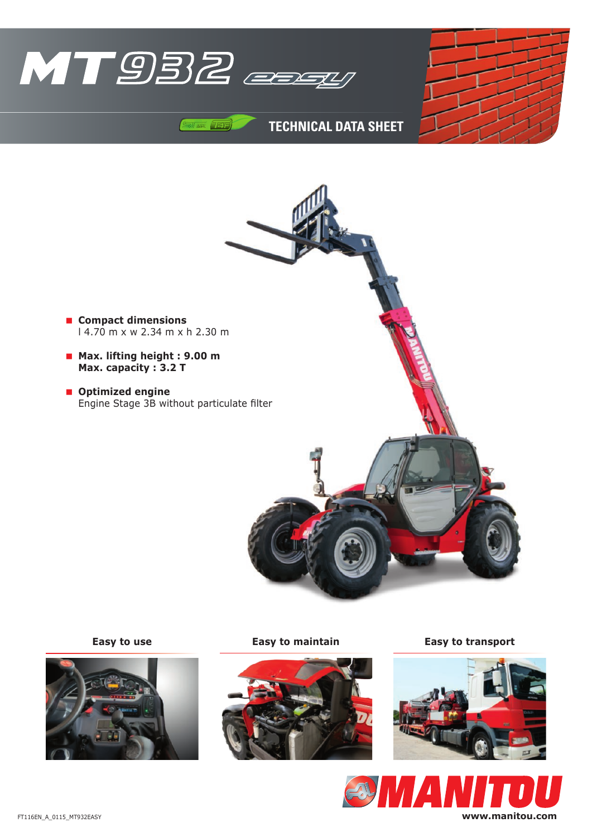

 $\sqrt{14}$ 

## **TECHNICAL DATA SHEET**

- **Compact dimensions** l 4.70 m x w 2.34 m x h 2.30 m
- **Max. lifting height : 9.00 m Max. capacity : 3.2 T**
- $\blacksquare$  Optimized engine Engine Stage 3B without particulate filter







**Easy to use Easy to maintain Easy to transport**